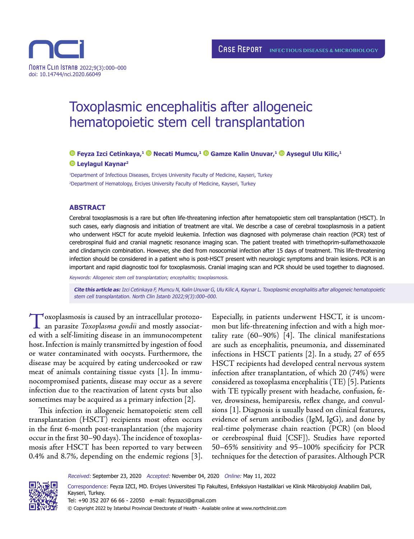

# Toxoplasmic encephalitis after allogeneic hematopoietic stem cell transplantation

# **Feyza Izci Cetinkaya,1Necati Mumcu,1Gamze Kalin Unuvar,1Aysegul Ulu Kilic,1 Leylagul Kaynar2**

1 Department of Infectious Diseases, Erciyes University Faculty of Medicine, Kayseri, Turkey 2 Department of Hematology, Erciyes University Faculty of Medicine, Kayseri, Turkey

#### **ABSTRACT**

Cerebral toxoplasmosis is a rare but often life-threatening infection after hematopoietic stem cell transplantation (HSCT). In such cases, early diagnosis and initiation of treatment are vital. We describe a case of cerebral toxoplasmosis in a patient who underwent HSCT for acute myeloid leukemia. Infection was diagnosed with polymerase chain reaction (PCR) test of cerebrospinal fluid and cranial magnetic resonance imaging scan. The patient treated with trimethoprim-sulfamethoxazole and clindamycin combination. However, she died from nosocomial infection after 15 days of treatment. This life-threatening infection should be considered in a patient who is post-HSCT present with neurologic symptoms and brain lesions. PCR is an important and rapid diagnostic tool for toxoplasmosis. Cranial imaging scan and PCR should be used together to diagnosed.

Keywords: Allogeneic stem cell transplantation; encephalitis; toxoplasmosis.

**Cite this article as:** Izci Cetinkaya F, Mumcu N, Kalin Unuvar G, Ulu Kilic A, Kaynar L. Toxoplasmic encephalitis after allogeneic hematopoietic stem cell transplantation. North Clin Istanb 2022;9(3):000–000.

Toxoplasmosis is caused by an intracellular protozoan parasite *Toxoplasma gondii* and mostly associated with a self-limiting disease in an immunocompetent host. Infection is mainly transmitted by ingestion of food or water contaminated with oocysts. Furthermore, the disease may be acquired by eating undercooked or raw meat of animals containing tissue cysts [1]. In immunocompromised patients, disease may occur as a severe infection due to the reactivation of latent cysts but also sometimes may be acquired as a primary infection [2].

This infection in allogeneic hematopoietic stem cell transplantation (HSCT) recipients most often occurs in the first 6-month post-transplantation (the majority occur in the first 30–90 days). The incidence of toxoplasmosis after HSCT has been reported to vary between 0.4% and 8.7%, depending on the endemic regions [3]. Especially, in patients underwent HSCT, it is uncommon but life-threatening infection and with a high mortality rate (60–90%) [4]. The clinical manifestations are such as encephalitis, pneumonia, and disseminated infections in HSCT patients [2]. In a study, 27 of 655 HSCT recipients had developed central nervous system infection after transplantation, of which 20 (74%) were considered as toxoplasma encephalitis (TE) [5]. Patients with TE typically present with headache, confusion, fever, drowsiness, hemiparesis, reflex change, and convulsions [1]. Diagnosis is usually based on clinical features, evidence of serum antibodies (IgM, IgG), and done by real-time polymerase chain reaction (PCR) (on blood or cerebrospinal fluid [CSF]). Studies have reported 50–65% sensitivity and 95–100% specificity for PCR techniques for the detection of parasites. Although PCR

Received: September 23, 2020 Accepted: November 04, 2020 Online: May 11, 2022

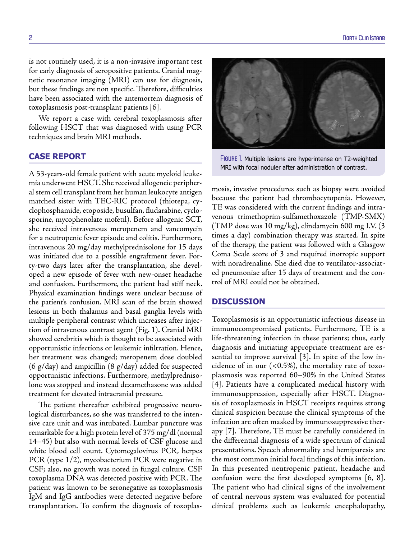is not routinely used, it is a non-invasive important test for early diagnosis of seropositive patients. Cranial magnetic resonance imaging (MRI) can use for diagnosis, but these findings are non specific. Therefore, difficulties have been associated with the antemortem diagnosis of toxoplasmosis post-transplant patients [6].

We report a case with cerebral toxoplasmosis after following HSCT that was diagnosed with using PCR techniques and brain MRI methods.

# **CASE REPORT**

A 53-years-old female patient with acute myeloid leukemia underwent HSCT. She received allogeneic peripheral stem cell transplant from her human leukocyte antigen matched sister with TEC-RIC protocol (thiotepa, cyclophosphamide, etoposide, busulfan, fludarabine, cyclosporine, mycophenolate mofetil). Before allogenic SCT, she received intravenous meropenem and vancomycin for a neutropenic fever episode and colitis. Furthermore, intravenous 20 mg/day methylprednisolone for 15 days was initiated due to a possible engraftment fever. Forty-two days later after the transplantation, she developed a new episode of fever with new-onset headache and confusion. Furthermore, the patient had stiff neck. Physical examination findings were unclear because of the patient's confusion. MRI scan of the brain showed lesions in both thalamus and basal ganglia levels with multiple peripheral contrast which increases after injection of intravenous contrast agent (Fig. 1). Cranial MRI showed cerebritis which is thought to be associated with opportunistic infections or leukemic infiltration. Hence, her treatment was changed; meropenem dose doubled (6 g/day) and ampicillin (8 g/day) added for suspected opportunistic infections. Furthermore, methylprednisolone was stopped and instead dexamethasone was added treatment for elevated intracranial pressure.

The patient thereafter exhibited progressive neurological disturbances, so she was transferred to the intensive care unit and was intubated. Lumbar puncture was remarkable for a high protein level of 375 mg/dl (normal 14–45) but also with normal levels of CSF glucose and white blood cell count. Cytomegalovirus PCR, herpes PCR (type 1/2), mycobacterium PCR were negative in CSF; also, no growth was noted in fungal culture. CSF toxoplasma DNA was detected positive with PCR. The patient was known to be seronegative as toxoplasmosis IgM and IgG antibodies were detected negative before transplantation. To confirm the diagnosis of toxoplas-



FIGURE 1. Multiple lesions are hyperintense on T2-weighted MRI with focal noduler after administration of contrast.

mosis, invasive procedures such as biopsy were avoided because the patient had thrombocytopenia. However, TE was considered with the current findings and intravenous trimethoprim-sulfamethoxazole (TMP-SMX) (TMP dose was 10 mg/kg), clindamycin 600 mg I.V. (3 times a day) combination therapy was started. In spite of the therapy, the patient was followed with a Glasgow Coma Scale score of 3 and required inotropic support with noradrenaline. She died due to ventilator-associated pneumoniae after 15 days of treatment and the control of MRI could not be obtained.

### **DISCUSSION**

Toxoplasmosis is an opportunistic infectious disease in immunocompromised patients. Furthermore, TE is a life-threatening infection in these patients; thus, early diagnosis and initiating appropriate treatment are essential to improve survival [3]. In spite of the low incidence of in our  $(<0.5\%)$ , the mortality rate of toxoplasmosis was reported 60–90% in the United States [4]. Patients have a complicated medical history with immunosuppression, especially after HSCT. Diagnosis of toxoplasmosis in HSCT receipts requires strong clinical suspicion because the clinical symptoms of the infection are often masked by immunosuppressive therapy [7]. Therefore, TE must be carefully considered in the differential diagnosis of a wide spectrum of clinical presentations. Speech abnormality and hemiparesis are the most common initial focal findings of this infection. In this presented neutropenic patient, headache and confusion were the first developed symptoms [6, 8]. The patient who had clinical signs of the involvement of central nervous system was evaluated for potential clinical problems such as leukemic encephalopathy,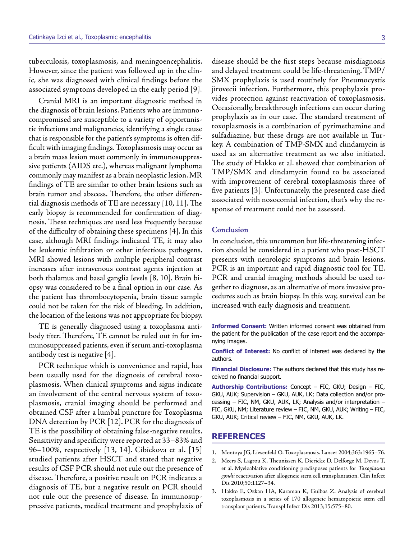tuberculosis, toxoplasmosis, and meningoencephalitis. However, since the patient was followed up in the clinic, she was diagnosed with clinical findings before the associated symptoms developed in the early period [9].

Cranial MRI is an important diagnostic method in the diagnosis of brain lesions. Patients who are immunocompromised are susceptible to a variety of opportunistic infections and malignancies, identifying a single cause that is responsible for the patient's symptoms is often difficult with imaging findings. Toxoplasmosis may occur as a brain mass lesion most commonly in immunosuppressive patients (AIDS etc.), whereas malignant lymphoma commonly may manifest as a brain neoplastic lesion. MR findings of TE are similar to other brain lesions such as brain tumor and abscess. Therefore, the other differential diagnosis methods of TE are necessary [10, 11]. The early biopsy is recommended for confirmation of diagnosis. These techniques are used less frequently because of the difficulty of obtaining these specimens [4]. In this case, although MRI findings indicated TE, it may also be leukemic infiltration or other infectious pathogens. MRI showed lesions with multiple peripheral contrast increases after intravenous contrast agents injection at both thalamus and basal ganglia levels [8, 10]. Brain biopsy was considered to be a final option in our case. As the patient has thrombocytopenia, brain tissue sample could not be taken for the risk of bleeding. In addition, the location of the lesions was not appropriate for biopsy.

TE is generally diagnosed using a toxoplasma antibody titer. Therefore, TE cannot be ruled out in for immunosuppressed patients, even if serum anti-toxoplasma antibody test is negative [4].

PCR technique which is convenience and rapid, has been usually used for the diagnosis of cerebral toxoplasmosis. When clinical symptoms and signs indicate an involvement of the central nervous system of toxoplasmosis, cranial imaging should be performed and obtained CSF after a lumbal puncture for Toxoplasma DNA detection by PCR [12]. PCR for the diagnosis of TE is the possibility of obtaining false-negative results. Sensitivity and specificity were reported at 33–83% and 96–100%, respectively [13, 14]. Cibickova et al. [15] studied patients after HSCT and stated that negative results of CSF PCR should not rule out the presence of disease. Therefore, a positive result on PCR indicates a diagnosis of TE, but a negative result on PCR should not rule out the presence of disease. In immunosuppressive patients, medical treatment and prophylaxis of

disease should be the first steps because misdiagnosis and delayed treatment could be life-threatening. TMP/ SMX prophylaxis is used routinely for Pneumocystis jirovecii infection. Furthermore, this prophylaxis provides protection against reactivation of toxoplasmosis. Occasionally, breakthrough infections can occur during prophylaxis as in our case. The standard treatment of toxoplasmosis is a combination of pyrimethamine and sulfadiazine, but these drugs are not available in Turkey. A combination of TMP-SMX and clindamycin is used as an alternative treatment as we also initiated. The study of Hakko et al. showed that combination of TMP/SMX and clindamycin found to be associated with improvement of cerebral toxoplasmosis three of five patients [3]. Unfortunately, the presented case died associated with nosocomial infection, that's why the response of treatment could not be assessed.

#### **Conclusion**

In conclusion, this uncommon but life-threatening infection should be considered in a patient who post-HSCT presents with neurologic symptoms and brain lesions. PCR is an important and rapid diagnostic tool for TE. PCR and cranial imaging methods should be used together to diagnose, as an alternative of more invasive procedures such as brain biopsy. In this way, survival can be increased with early diagnosis and treatment.

**Informed Consent:** Written informed consent was obtained from the patient for the publication of the case report and the accompanying images.

**Conflict of Interest:** No conflict of interest was declared by the authors.

**Financial Disclosure:** The authors declared that this study has received no financial support.

**Authorship Contributions:** Concept – FIC, GKU; Design – FIC, GKU, AUK; Supervision – GKU, AUK, LK; Data collection and/or processing – FIC, NM, GKU, AUK, LK; Analysis and/or interpretation – FIC, GKU, NM; Literature review – FIC, NM, GKU, AUK; Writing – FIC, GKU, AUK; Critical review – FIC, NM, GKU, AUK, LK.

## **REFERENCES**

- 1. Montoya JG, Liesenfeld O. Toxoplasmosis. Lancet 2004;363:1965–76.
- 2. Meers S, Lagrou K, Theunissen K, Dierickx D, Delforge M, Devos T, et al. Myeloablative conditioning predisposes patients for *Toxoplasma gondii* reactivation after allogeneic stem cell transplantation. Clin Infect Dis 2010;50:1127–34.
- 3. Hakko E, Ozkan HA, Karaman K, Gulbas Z. Analysis of cerebral toxoplasmosis in a series of 170 allogeneic hematopoietic stem cell transplant patients. Transpl Infect Dis 2013;15:575–80.